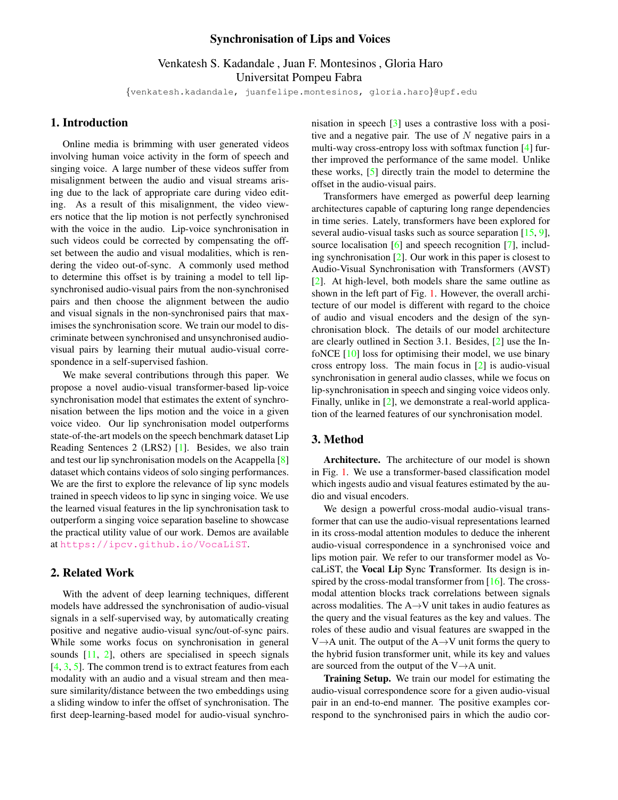### Synchronisation of Lips and Voices

Venkatesh S. Kadandale , Juan F. Montesinos , Gloria Haro Universitat Pompeu Fabra

{venkatesh.kadandale, juanfelipe.montesinos, gloria.haro}@upf.edu

### <span id="page-0-0"></span>1. Introduction

Online media is brimming with user generated videos involving human voice activity in the form of speech and singing voice. A large number of these videos suffer from misalignment between the audio and visual streams arising due to the lack of appropriate care during video editing. As a result of this misalignment, the video viewers notice that the lip motion is not perfectly synchronised with the voice in the audio. Lip-voice synchronisation in such videos could be corrected by compensating the offset between the audio and visual modalities, which is rendering the video out-of-sync. A commonly used method to determine this offset is by training a model to tell lipsynchronised audio-visual pairs from the non-synchronised pairs and then choose the alignment between the audio and visual signals in the non-synchronised pairs that maximises the synchronisation score. We train our model to discriminate between synchronised and unsynchronised audiovisual pairs by learning their mutual audio-visual correspondence in a self-supervised fashion.

We make several contributions through this paper. We propose a novel audio-visual transformer-based lip-voice synchronisation model that estimates the extent of synchronisation between the lips motion and the voice in a given voice video. Our lip synchronisation model outperforms state-of-the-art models on the speech benchmark dataset Lip Reading Sentences 2 (LRS2) [\[1\]](#page-3-0). Besides, we also train and test our lip synchronisation models on the Acappella [\[8\]](#page-3-1) dataset which contains videos of solo singing performances. We are the first to explore the relevance of lip sync models trained in speech videos to lip sync in singing voice. We use the learned visual features in the lip synchronisation task to outperform a singing voice separation baseline to showcase the practical utility value of our work. Demos are available at <https://ipcv.github.io/VocaLiST>.

# 2. Related Work

With the advent of deep learning techniques, different models have addressed the synchronisation of audio-visual signals in a self-supervised way, by automatically creating positive and negative audio-visual sync/out-of-sync pairs. While some works focus on synchronisation in general sounds [\[11,](#page-3-2) [2\]](#page-3-3), others are specialised in speech signals  $[4, 3, 5]$  $[4, 3, 5]$  $[4, 3, 5]$  $[4, 3, 5]$  $[4, 3, 5]$ . The common trend is to extract features from each modality with an audio and a visual stream and then measure similarity/distance between the two embeddings using a sliding window to infer the offset of synchronisation. The first deep-learning-based model for audio-visual synchronisation in speech [\[3\]](#page-3-5) uses a contrastive loss with a positive and a negative pair. The use of  $N$  negative pairs in a multi-way cross-entropy loss with softmax function [\[4\]](#page-3-4) further improved the performance of the same model. Unlike these works, [\[5\]](#page-3-6) directly train the model to determine the offset in the audio-visual pairs.

Transformers have emerged as powerful deep learning architectures capable of capturing long range dependencies in time series. Lately, transformers have been explored for several audio-visual tasks such as source separation  $[15, 9]$  $[15, 9]$  $[15, 9]$ , source localisation [\[6\]](#page-3-9) and speech recognition [\[7\]](#page-3-10), including synchronisation  $[2]$ . Our work in this paper is closest to Audio-Visual Synchronisation with Transformers (AVST) [\[2\]](#page-3-3). At high-level, both models share the same outline as shown in the left part of Fig. [1.](#page-1-0) However, the overall architecture of our model is different with regard to the choice of audio and visual encoders and the design of the synchronisation block. The details of our model architecture are clearly outlined in Section 3.1. Besides, [\[2\]](#page-3-3) use the InfoNCE [\[10\]](#page-3-11) loss for optimising their model, we use binary cross entropy loss. The main focus in [\[2\]](#page-3-3) is audio-visual synchronisation in general audio classes, while we focus on lip-synchronisation in speech and singing voice videos only. Finally, unlike in [\[2\]](#page-3-3), we demonstrate a real-world application of the learned features of our synchronisation model.

## 3. Method

Architecture. The architecture of our model is shown in Fig. [1.](#page-1-0) We use a transformer-based classification model which ingests audio and visual features estimated by the audio and visual encoders.

We design a powerful cross-modal audio-visual transformer that can use the audio-visual representations learned in its cross-modal attention modules to deduce the inherent audio-visual correspondence in a synchronised voice and lips motion pair. We refer to our transformer model as VocaLiST, the Vocal Lip Sync Transformer. Its design is in-spired by the cross-modal transformer from [\[16\]](#page-3-12). The crossmodal attention blocks track correlations between signals across modalities. The A→V unit takes in audio features as the query and the visual features as the key and values. The roles of these audio and visual features are swapped in the V $\rightarrow$ A unit. The output of the A $\rightarrow$ V unit forms the query to the hybrid fusion transformer unit, while its key and values are sourced from the output of the  $V \rightarrow A$  unit.

Training Setup. We train our model for estimating the audio-visual correspondence score for a given audio-visual pair in an end-to-end manner. The positive examples correspond to the synchronised pairs in which the audio cor-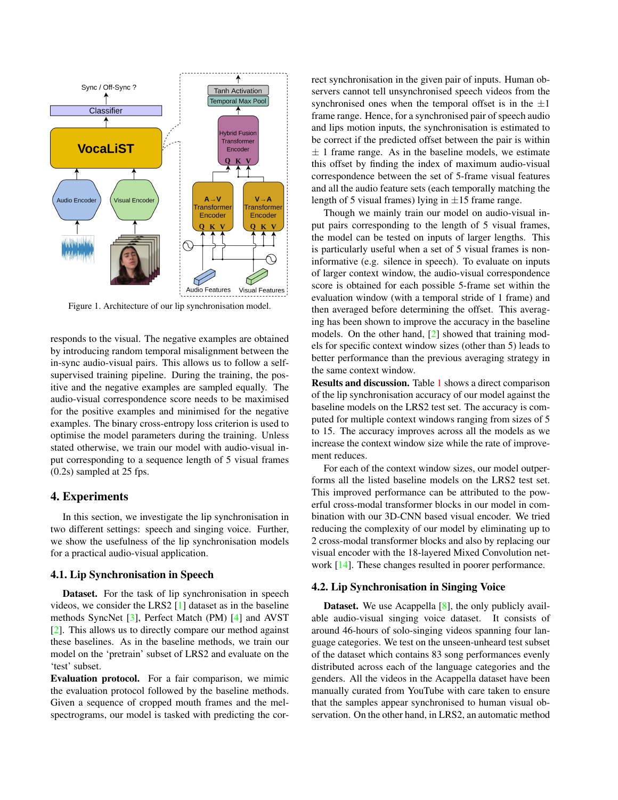<span id="page-1-1"></span>

<span id="page-1-0"></span>Figure 1. Architecture of our lip synchronisation model.

responds to the visual. The negative examples are obtained by introducing random temporal misalignment between the in-sync audio-visual pairs. This allows us to follow a selfsupervised training pipeline. During the training, the positive and the negative examples are sampled equally. The audio-visual correspondence score needs to be maximised for the positive examples and minimised for the negative examples. The binary cross-entropy loss criterion is used to optimise the model parameters during the training. Unless stated otherwise, we train our model with audio-visual input corresponding to a sequence length of 5 visual frames (0.2s) sampled at 25 fps.

## 4. Experiments

In this section, we investigate the lip synchronisation in two different settings: speech and singing voice. Further, we show the usefulness of the lip synchronisation models for a practical audio-visual application.

#### 4.1. Lip Synchronisation in Speech

Dataset. For the task of lip synchronisation in speech videos, we consider the LRS2 [\[1\]](#page-3-0) dataset as in the baseline methods SyncNet [\[3\]](#page-3-5), Perfect Match (PM) [\[4\]](#page-3-4) and AVST [\[2\]](#page-3-3). This allows us to directly compare our method against these baselines. As in the baseline methods, we train our model on the 'pretrain' subset of LRS2 and evaluate on the 'test' subset.

Evaluation protocol. For a fair comparison, we mimic the evaluation protocol followed by the baseline methods. Given a sequence of cropped mouth frames and the melspectrograms, our model is tasked with predicting the correct synchronisation in the given pair of inputs. Human observers cannot tell unsynchronised speech videos from the synchronised ones when the temporal offset is in the  $\pm 1$ frame range. Hence, for a synchronised pair of speech audio and lips motion inputs, the synchronisation is estimated to be correct if the predicted offset between the pair is within  $\pm$  1 frame range. As in the baseline models, we estimate this offset by finding the index of maximum audio-visual correspondence between the set of 5-frame visual features and all the audio feature sets (each temporally matching the length of 5 visual frames) lying in  $\pm 15$  frame range.

Though we mainly train our model on audio-visual input pairs corresponding to the length of 5 visual frames, the model can be tested on inputs of larger lengths. This is particularly useful when a set of 5 visual frames is noninformative (e.g. silence in speech). To evaluate on inputs of larger context window, the audio-visual correspondence score is obtained for each possible 5-frame set within the evaluation window (with a temporal stride of 1 frame) and then averaged before determining the offset. This averaging has been shown to improve the accuracy in the baseline models. On the other hand, [\[2\]](#page-3-3) showed that training models for specific context window sizes (other than 5) leads to better performance than the previous averaging strategy in the same context window.

Results and discussion. Table [1](#page-3-13) shows a direct comparison of the lip synchronisation accuracy of our model against the baseline models on the LRS2 test set. The accuracy is computed for multiple context windows ranging from sizes of 5 to 15. The accuracy improves across all the models as we increase the context window size while the rate of improvement reduces.

For each of the context window sizes, our model outperforms all the listed baseline models on the LRS2 test set. This improved performance can be attributed to the powerful cross-modal transformer blocks in our model in combination with our 3D-CNN based visual encoder. We tried reducing the complexity of our model by eliminating up to 2 cross-modal transformer blocks and also by replacing our visual encoder with the 18-layered Mixed Convolution net-work [\[14\]](#page-3-14). These changes resulted in poorer performance.

#### 4.2. Lip Synchronisation in Singing Voice

**Dataset.** We use Acappella [\[8\]](#page-3-1), the only publicly available audio-visual singing voice dataset. It consists of around 46-hours of solo-singing videos spanning four language categories. We test on the unseen-unheard test subset of the dataset which contains 83 song performances evenly distributed across each of the language categories and the genders. All the videos in the Acappella dataset have been manually curated from YouTube with care taken to ensure that the samples appear synchronised to human visual observation. On the other hand, in LRS2, an automatic method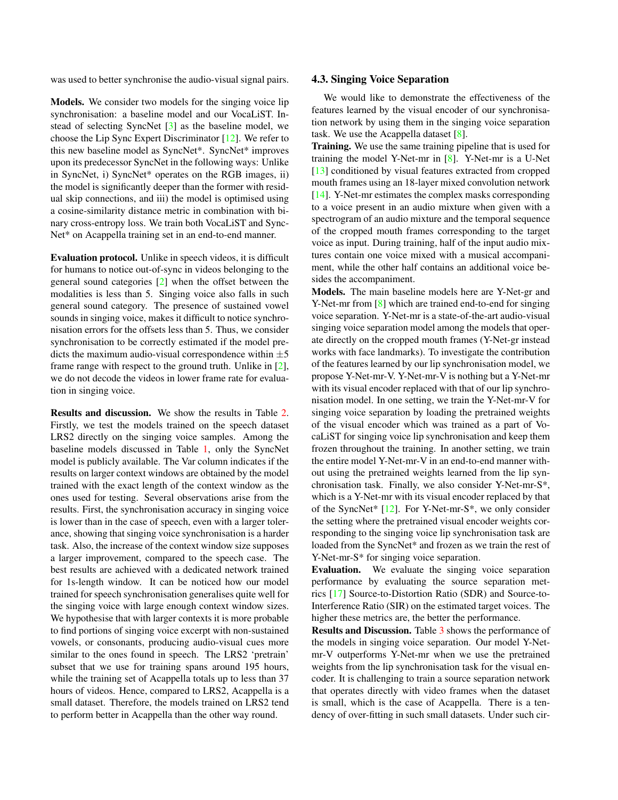<span id="page-2-0"></span>was used to better synchronise the audio-visual signal pairs.

Models. We consider two models for the singing voice lip synchronisation: a baseline model and our VocaLiST. Instead of selecting SyncNet [\[3\]](#page-3-5) as the baseline model, we choose the Lip Sync Expert Discriminator [\[12\]](#page-3-15). We refer to this new baseline model as SyncNet\*. SyncNet\* improves upon its predecessor SyncNet in the following ways: Unlike in SyncNet, i) SyncNet\* operates on the RGB images, ii) the model is significantly deeper than the former with residual skip connections, and iii) the model is optimised using a cosine-similarity distance metric in combination with binary cross-entropy loss. We train both VocaLiST and Sync-Net\* on Acappella training set in an end-to-end manner.

Evaluation protocol. Unlike in speech videos, it is difficult for humans to notice out-of-sync in videos belonging to the general sound categories [\[2\]](#page-3-3) when the offset between the modalities is less than 5. Singing voice also falls in such general sound category. The presence of sustained vowel sounds in singing voice, makes it difficult to notice synchronisation errors for the offsets less than 5. Thus, we consider synchronisation to be correctly estimated if the model predicts the maximum audio-visual correspondence within  $\pm 5$ frame range with respect to the ground truth. Unlike in [\[2\]](#page-3-3), we do not decode the videos in lower frame rate for evaluation in singing voice.

Results and discussion. We show the results in Table [2.](#page-3-16) Firstly, we test the models trained on the speech dataset LRS2 directly on the singing voice samples. Among the baseline models discussed in Table [1,](#page-3-13) only the SyncNet model is publicly available. The Var column indicates if the results on larger context windows are obtained by the model trained with the exact length of the context window as the ones used for testing. Several observations arise from the results. First, the synchronisation accuracy in singing voice is lower than in the case of speech, even with a larger tolerance, showing that singing voice synchronisation is a harder task. Also, the increase of the context window size supposes a larger improvement, compared to the speech case. The best results are achieved with a dedicated network trained for 1s-length window. It can be noticed how our model trained for speech synchronisation generalises quite well for the singing voice with large enough context window sizes. We hypothesise that with larger contexts it is more probable to find portions of singing voice excerpt with non-sustained vowels, or consonants, producing audio-visual cues more similar to the ones found in speech. The LRS2 'pretrain' subset that we use for training spans around 195 hours, while the training set of Acappella totals up to less than 37 hours of videos. Hence, compared to LRS2, Acappella is a small dataset. Therefore, the models trained on LRS2 tend to perform better in Acappella than the other way round.

#### 4.3. Singing Voice Separation

We would like to demonstrate the effectiveness of the features learned by the visual encoder of our synchronisation network by using them in the singing voice separation task. We use the Acappella dataset [\[8\]](#page-3-1).

Training. We use the same training pipeline that is used for training the model Y-Net-mr in [\[8\]](#page-3-1). Y-Net-mr is a U-Net [\[13\]](#page-3-17) conditioned by visual features extracted from cropped mouth frames using an 18-layer mixed convolution network [\[14\]](#page-3-14). Y-Net-mr estimates the complex masks corresponding to a voice present in an audio mixture when given with a spectrogram of an audio mixture and the temporal sequence of the cropped mouth frames corresponding to the target voice as input. During training, half of the input audio mixtures contain one voice mixed with a musical accompaniment, while the other half contains an additional voice besides the accompaniment.

Models. The main baseline models here are Y-Net-gr and Y-Net-mr from [\[8\]](#page-3-1) which are trained end-to-end for singing voice separation. Y-Net-mr is a state-of-the-art audio-visual singing voice separation model among the models that operate directly on the cropped mouth frames (Y-Net-gr instead works with face landmarks). To investigate the contribution of the features learned by our lip synchronisation model, we propose Y-Net-mr-V. Y-Net-mr-V is nothing but a Y-Net-mr with its visual encoder replaced with that of our lip synchronisation model. In one setting, we train the Y-Net-mr-V for singing voice separation by loading the pretrained weights of the visual encoder which was trained as a part of VocaLiST for singing voice lip synchronisation and keep them frozen throughout the training. In another setting, we train the entire model Y-Net-mr-V in an end-to-end manner without using the pretrained weights learned from the lip synchronisation task. Finally, we also consider Y-Net-mr-S\*, which is a Y-Net-mr with its visual encoder replaced by that of the SyncNet\* [\[12\]](#page-3-15). For Y-Net-mr-S\*, we only consider the setting where the pretrained visual encoder weights corresponding to the singing voice lip synchronisation task are loaded from the SyncNet\* and frozen as we train the rest of Y-Net-mr-S\* for singing voice separation.

Evaluation. We evaluate the singing voice separation performance by evaluating the source separation metrics [\[17\]](#page-3-18) Source-to-Distortion Ratio (SDR) and Source-to-Interference Ratio (SIR) on the estimated target voices. The higher these metrics are, the better the performance.

Results and Discussion. Table [3](#page-3-19) shows the performance of the models in singing voice separation. Our model Y-Netmr-V outperforms Y-Net-mr when we use the pretrained weights from the lip synchronisation task for the visual encoder. It is challenging to train a source separation network that operates directly with video frames when the dataset is small, which is the case of Acappella. There is a tendency of over-fitting in such small datasets. Under such cir-